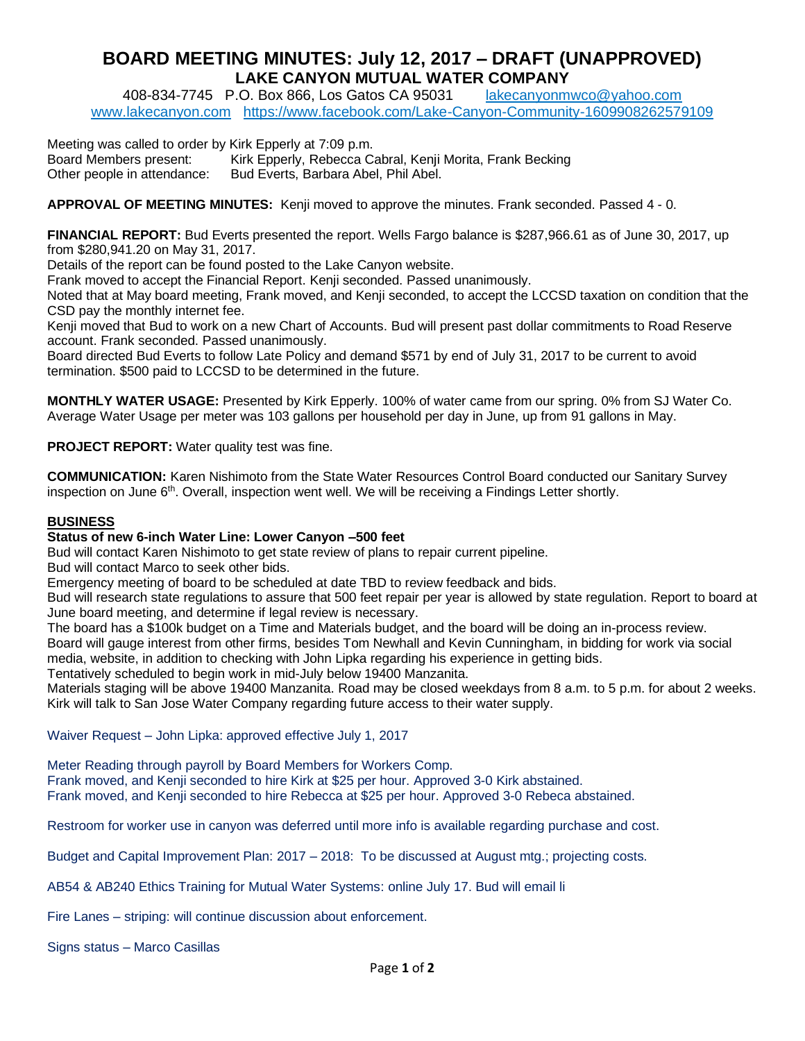## **BOARD MEETING MINUTES: July 12, 2017 – DRAFT (UNAPPROVED) LAKE CANYON MUTUAL WATER COMPANY**

408-834-7745 P.O. Box 866, Los Gatos CA 95031 [lakecanyonmwco@yahoo.com](mailto:lakecanyonmwco@yahoo.com)  [www.lakecanyon.com](http://h) <https://www.facebook.com/Lake-Canyon-Community-1609908262579109>

Meeting was called to order by Kirk Epperly at 7:09 p.m. Board Members present: Kirk Epperly, Rebecca Cabral, Kenji Morita, Frank Becking Other people in attendance: Bud Everts, Barbara Abel, Phil Abel.

**APPROVAL OF MEETING MINUTES:** Kenji moved to approve the minutes. Frank seconded. Passed 4 - 0.

**FINANCIAL REPORT:** Bud Everts presented the report. Wells Fargo balance is \$287,966.61 as of June 30, 2017, up from \$280,941.20 on May 31, 2017.

Details of the report can be found posted to the Lake Canyon website.

Frank moved to accept the Financial Report. Kenji seconded. Passed unanimously.

Noted that at May board meeting, Frank moved, and Kenji seconded, to accept the LCCSD taxation on condition that the CSD pay the monthly internet fee.

Kenji moved that Bud to work on a new Chart of Accounts. Bud will present past dollar commitments to Road Reserve account. Frank seconded. Passed unanimously.

Board directed Bud Everts to follow Late Policy and demand \$571 by end of July 31, 2017 to be current to avoid termination. \$500 paid to LCCSD to be determined in the future.

**MONTHLY WATER USAGE:** Presented by Kirk Epperly. 100% of water came from our spring. 0% from SJ Water Co. Average Water Usage per meter was 103 gallons per household per day in June, up from 91 gallons in May.

**PROJECT REPORT:** Water quality test was fine.

**COMMUNICATION:** Karen Nishimoto from the State Water Resources Control Board conducted our Sanitary Survey inspection on June 6<sup>th</sup>. Overall, inspection went well. We will be receiving a Findings Letter shortly.

## **BUSINESS**

## **Status of new 6-inch Water Line: Lower Canyon –500 feet**

Bud will contact Karen Nishimoto to get state review of plans to repair current pipeline.

Bud will contact Marco to seek other bids.

Emergency meeting of board to be scheduled at date TBD to review feedback and bids.

Bud will research state regulations to assure that 500 feet repair per year is allowed by state regulation. Report to board at June board meeting, and determine if legal review is necessary.

The board has a \$100k budget on a Time and Materials budget, and the board will be doing an in-process review. Board will gauge interest from other firms, besides Tom Newhall and Kevin Cunningham, in bidding for work via social media, website, in addition to checking with John Lipka regarding his experience in getting bids.

Tentatively scheduled to begin work in mid-July below 19400 Manzanita.

Materials staging will be above 19400 Manzanita. Road may be closed weekdays from 8 a.m. to 5 p.m. for about 2 weeks. Kirk will talk to San Jose Water Company regarding future access to their water supply.

Waiver Request – John Lipka: approved effective July 1, 2017

Meter Reading through payroll by Board Members for Workers Comp.

Frank moved, and Kenji seconded to hire Kirk at \$25 per hour. Approved 3-0 Kirk abstained.

Frank moved, and Kenji seconded to hire Rebecca at \$25 per hour. Approved 3-0 Rebeca abstained.

Restroom for worker use in canyon was deferred until more info is available regarding purchase and cost.

Budget and Capital Improvement Plan: 2017 – 2018: To be discussed at August mtg.; projecting costs.

AB54 & AB240 Ethics Training for Mutual Water Systems: online July 17. Bud will email li

Fire Lanes – striping: will continue discussion about enforcement.

Signs status – Marco Casillas